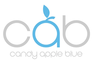

# candy apple blue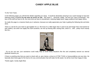To the Tech Team,

In the following pages you will find the details regarding our setup. It would be absolutely amazing if you could manage to have the following setup completed **by the time we arrive on site**... We mean it.... Seriously, totally, "we love you" type of amazing!!! The less of this stuff we have to do, the more time we have to soundcheck, meaning happy band, happy audience and happy clients.

So really this page is a massive thank-you in advance, because we really appreciate your help in getting the following bits and bobs done.

There is a kit list for your team to get together for us. We know it's a little larger than it used to be (and larger than most bands for that matter!), but when we supply this stuff ourselves, we end up leaving after closing time, which is... well... pretty much exactly like this...



...So as you can see, your assistance could really help us avoid sticky situations like this and completely warrant our eternal gratitude towards you.

If there is anything else that you want to check with us, give James a shout on 07799 771031 or livesound@me.com any time. He basically does these gigs for the food so for any communication that will make his life easier, he will be more than happy to help.

Thanks again, Candy Apple Blue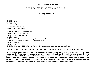## TECHNICAL SETUP FOR CANDY APPLE BLUE

**Supply Inventory** 

16x XLR ( 3m) 16x XLR ( 6m) 4x XLR (10m) 8x Tall boom mic stands 3x Short boom mic stands 1x Shure Beta 91 or Sennheiser e901 1x Shure Beta 52 or Audix D6 3x Sennheiser e604 or e904 1x Shure Beta 56 5x Neumann KM184 or other decent quality pencil condensers 1x Shure SM57 or Shure Beta 57 or Sennheiser e906 1x Shure Beta 58 1x Shure SM58 5x DI box (preferably BSS AR133 or Radial J48... LD systems or other cheap brand please)

Enough 4-way power to supply each of the 5 performer positions on stage plus 1 extra for our desk, router etc.

**We shall bring an 8U rack unit, which we would normally positioned on stage next to the drummer. The unit contains a X32 Rack, which we control all our own in-ears monitors from. This rack has a transformer-isolated passive split for all 24 channels. All sat boxes or mic cables connect to our rack and we will then provide the house with a full 24 channel split for FOH. There is a 7-meter XLR loom to allow connection to house stage boxes etc. We provide all phantom power. If the rack is to be positioned off stage it is important that the production provide all cables and/or sat boxes to allow easy connection to mics on stage.**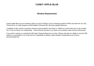## **Wireless Requirements**

Candy Apple Blue use one wireless radio mic and 5 wireless in-ear monitoring systems Which are built into our rack.. These all run on radio frequency 606-614MHz (Channel 38). We have paddle antennas.

In addition to that, all five musicians and the sound engineer use IPads or Tablets to control their own In-ear monitor mix / Front of House mix respectively. These devices connect to our desk via a wireless router that we will provide.

If you wish to assign us a particular Wifi radio Channel please let us know. Please note that our ability to use this Wifi system is a necessity to our show and non-negotiable so please make whatever preparations you must to accommodate this.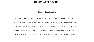#### **Backline Specifications**

• 5 PIECE GOOD QUALITY DRUMKIT i.e. PEARL, YAMAHA, TAMA or GRETSCH

• BASS GUITAR COMBO OR AMP AND SPEAKER.i.e. MPEG. ASHDOWN or MARKBASS

• GUITAR AMP i.e, FENDER, HOT ROD DELUXE, MARSHALL DSL 40 or VOX AC50

. PLEASE PROVIDE VOCAL MICS, X4 WIRED, X1 SENNHEISER RADIO FOR LEAD VOX

Please make sure all backline provided is well maintained and in full working order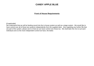### **Front of House Requirements**

[If applicable]

We understand that we will be feeding sound into the in-house system as well as a stage system. We would like to have control over all of these two systems independently from the supplied desk. Also regarding any further fills that are part of the system, please see to it that we can have control over those too. We shall tailor the mix to suit each individual zone so the more independent control we have, the better.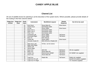## **Channel List**

All use of satellite boxes for patching is at the discretion of the system techs. Where possible, please provide details of the routing in the free columns below.

| <b>Stage box</b><br>number | <b>Stage box</b><br>input | <b>Desk</b><br>input | <b>Instrument</b>         | <b>Mic/DI/Unit request</b> | <b>Stands</b><br><b>Required</b> | Our kit to be used           |
|----------------------------|---------------------------|----------------------|---------------------------|----------------------------|----------------------------------|------------------------------|
|                            |                           | 01                   | <b>Kick Drum</b>          | Shure Beta 91              | Short boom                       |                              |
|                            |                           | 02                   | <b>Snare Drum</b>         | Sennheiser e604            |                                  |                              |
|                            |                           | 03                   | Hi Hat                    | Shure SM81                 | Short boom                       |                              |
|                            |                           | 04                   | Rack Tom 1                | Sennheiser e604            |                                  |                              |
|                            |                           | 05                   | Rack Tom 2                | Sennheiser e604            |                                  |                              |
|                            |                           | 06                   | Floor Tom                 | Sennheiser e604            |                                  |                              |
|                            |                           | 07                   | Overhead Left             | Shure SM81                 | Tall boom                        |                              |
|                            |                           | 08                   | Overhead Right            | Shure SM81                 | Tall boom                        |                              |
|                            |                           | 09                   | Bass DI                   | <b>BSS AR133</b>           |                                  |                              |
|                            |                           | 10                   | <b>Guitar Mic</b>         | Shure SM57                 | Short boom                       |                              |
|                            |                           | 11                   | <b>Acoustic Guitar DI</b> | BSS AR133 or Radial JDI    |                                  |                              |
|                            |                           | 12                   |                           |                            |                                  |                              |
|                            |                           | 13                   | Main Keys Left            | DI Box, can be stereo      |                                  |                              |
|                            |                           | 14                   | Main Keys Right           |                            |                                  |                              |
|                            |                           | 15                   | <b>SPDX Left</b>          |                            |                                  |                              |
|                            |                           | 16                   | <b>SPDX Right</b>         |                            |                                  |                              |
|                            |                           | 17                   | Keys Vox                  | AKG D5                     | Tall boom                        | D5 mic supplied              |
|                            |                           | 18                   | Bass Vox                  | Shure Beta 58              | Tall boom                        |                              |
|                            |                           | 19                   | <b>Guitar Vox</b>         | ElectroVoice ND967         | Tall boom                        | EV ND967 mic supplied        |
|                            |                           | 20                   | Drum Vox                  | Shure Beta 56              | Tall boom                        |                              |
|                            |                           | 21                   |                           |                            |                                  |                              |
|                            |                           | 22                   | Lead Vox                  | Radio Mic                  | Tall boom                        | Radio mic supplied           |
|                            |                           | 23                   | Lead Vox FX Left          |                            |                                  | Ew135 G3 system supplied     |
|                            |                           | 24                   | Lead Vox FX Right         |                            |                                  | <b>TC Voicelive supplied</b> |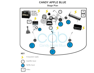**Stage Plan**